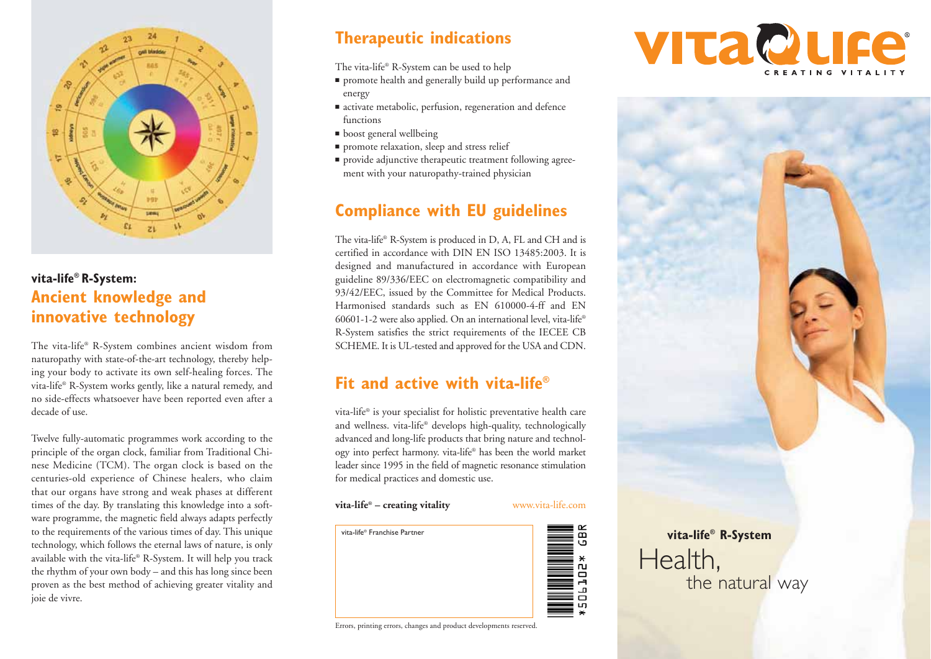

## **vita-life® R-System: Ancient knowledge and innovative technology**

The vita-life® R-System combines ancient wisdom from naturopathy with state-of-the-art technology, thereby helping your body to activate its own self-healing forces. The vita-life® R-System works gently, like a natural remedy, and no side-effects whatsoever have been reported even after a decade of use.

Twelve fully-automatic programmes work according to the principle of the organ clock, familiar from Traditional Chinese Medicine (TCM). The organ clock is based on the centuries-old experience of Chinese healers, who claim that our organs have strong and weak phases at different times of the day. By translating this knowledge into a software programme, the magnetic field always adapts perfectly to the requirements of the various times of day. This unique technology, which follows the eternal laws of nature, is only available with the vita-life® R-System. It will help you track the rhythm of your own body – and this has long since been proven as the best method of achieving greater vitality and joie de vivre.

# **Therapeutic indications**

The vita-life® R-System can be used to help

- promote health and generally build up performance and energy
- activate metabolic, perfusion, regeneration and defence functions
- boost general wellbeing
- promote relaxation, sleep and stress relief
- provide adjunctive therapeutic treatment following agreement with your naturopathy-trained physician

# **Compliance with EU guidelines**

The vita-life® R-System is produced in D, A, FL and CH and is certified in accordance with DIN EN ISO 13485:2003. It is designed and manufactured in accordance with European guideline 89/336/EEC on electromagnetic compatibility and 93/42/EEC, issued by the Committee for Medical Products. Harmonised standards such as EN 610000-4-ff and EN 60601-1-2 were also applied. On an international level, vita-life® R-System satisfies the strict requirements of the IECEE CB SCHEME. It is UL-tested and approved for the USA and CDN.

# **Fit and active with vita-life®**

vita-life® is your specialist for holistic preventative health care and wellness. vita-life® develops high-quality, technologically advanced and long-life products that bring nature and technology into perfect harmony. vita-life® has been the world market leader since 1995 in the field of magnetic resonance stimulation for medical practices and domestic use.

**vita-life® – creating vitality**

www.vita-life.com



Errors, printing errors, changes and product developments reserved.





**vita-life® R-System**

the natural way

Health,